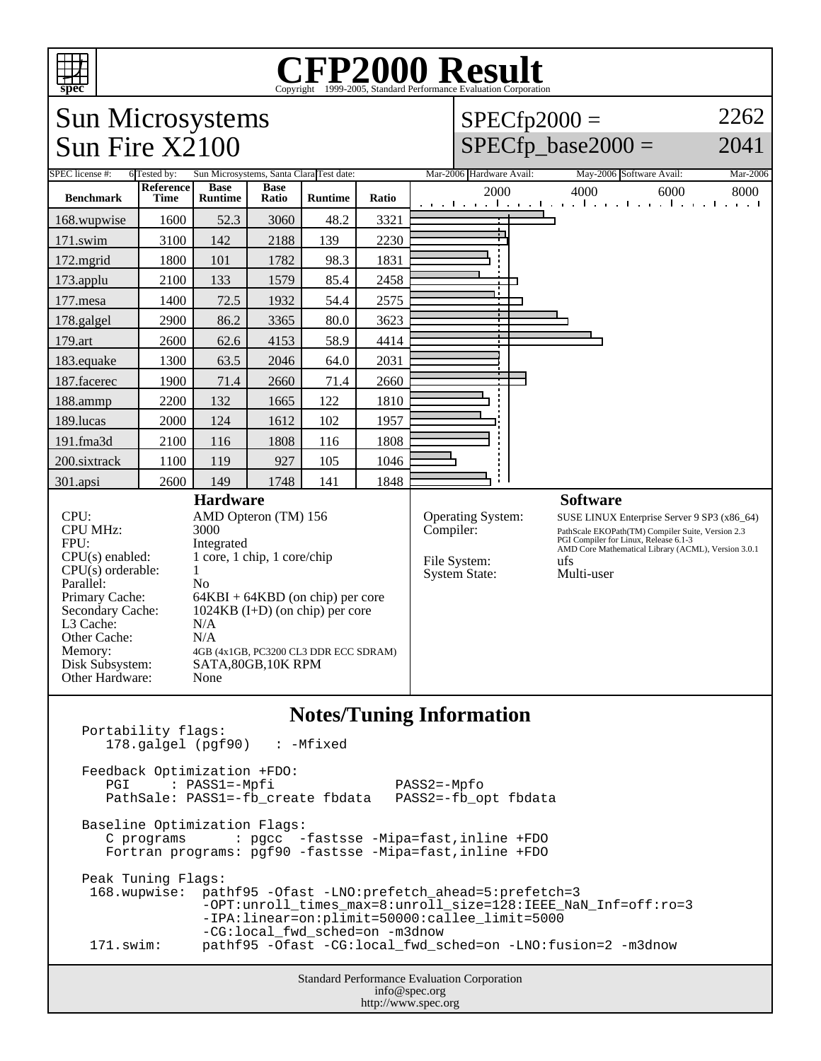

## C<sub>opyright</sub> ©1999-2005, Standard Performance Evaluation Corporation

Sun Microsystems Sun Fire X2100  $SPECfp2000 =$  $SPECfp\_base2000 =$ 2262 2041 6 Tested by: Sun Microsystems, Santa Clara Test date: Mar-2006 Hardware Avail: May-2006 Software Avail: Mar-2006 **Benchmark Reference Time Base Runtime Base Ratio Runtime Ratio** 2000 4000 6000 8000 168.wupwise 1600 52.3 3060 48.2 3321 171.swim | 3100 | 142 | 2188 | 139 | 2230 172.mgrid | 1800 | 101 | 1782 | 98.3 | 1831 173.applu | 2100 | 133 | 1579 | 85.4 | 2458 177.mesa | 1400 | 72.5 | 1932 | 54.4 | 2575 178.galgel | 2900 | 86.2 | 3365 | 80.0 | 3623 179.art | 2600 | 62.6 | 4153 | 58.9 | 4414 183.equake 1300 63.5 2046 64.0 2031 187.facerec | 1900 | 71.4 | 2660 | 71.4 | 2660 188.ammp | 2200 | 132 | 1665 | 122 | 1810 189.lucas | 2000 | 124 | 1612 | 102 | 1957 191.fma3d 2100 116 1808 116 1808 200.sixtrack 1100 119 927 105 1046 301.apsi 2600 149 1748 141 1848 **Hardware** CPU: AMD Opteron (TM) 156 CPU MHz: 3000 FPU: Integrated<br>CPU(s) enabled: 1 core, 1 c  $1$  core,  $1$  chip,  $1$  core/chip  $CPU(s)$  orderable:  $1$ Parallel: No<br>Primary Cache: 641  $64KBI + 64KBD$  (on chip) per core Secondary Cache: 1024KB (I+D) (on chip) per core L3 Cache: N/A<br>Other Cache: N/A Other Cache: Memory: 4GB (4x1GB, PC3200 CL3 DDR ECC SDRAM) Disk Subsystem: SATA,80GB,10K RPM Other Hardware: None **Software** Operating System: SUSE LINUX Enterprise Server 9 SP3 (x86\_64)<br>
Compiler: PathScale EKOPath(TM) Compiler Suite, Version 2.3 PathScale EKOPath(TM) Compiler Suite, Version 2.3 PGI Compiler for Linux, Release 6.1-3 AMD Core Mathematical Library (ACML), Version 3.0.1 File System: ufs<br>System State: Multi-user System State: **Notes/Tuning Information** Portability flags: 178.galgel (pgf90) : -Mfixed Feedback Optimization +FDO: PGI : PASS1=-Mpfi PASS2=-Mpfo PathSale: PASS1=-fb\_create fbdata PASS2=-fb\_opt fbdata Baseline Optimization Flags: C programs : pgcc -fastsse -Mipa=fast,inline +FDO Fortran programs: pgf90 -fastsse -Mipa=fast,inline +FDO Peak Tuning Flags: 168.wupwise: pathf95 -Ofast -LNO:prefetch\_ahead=5:prefetch=3 -OPT:unroll\_times\_max=8:unroll\_size=128:IEEE\_NaN\_Inf=off:ro=3 -IPA:linear=on:plimit=50000:callee\_limit=5000

-CG:local\_fwd\_sched=on -m3dnow<br>171 swim: pathf95 -Ofast -CG:local fwd sy 171.swim: pathf95 -Ofast -CG:local\_fwd\_sched=on -LNO:fusion=2 -m3dnow

> Standard Performance Evaluation Corporation info@spec.org http://www.spec.org